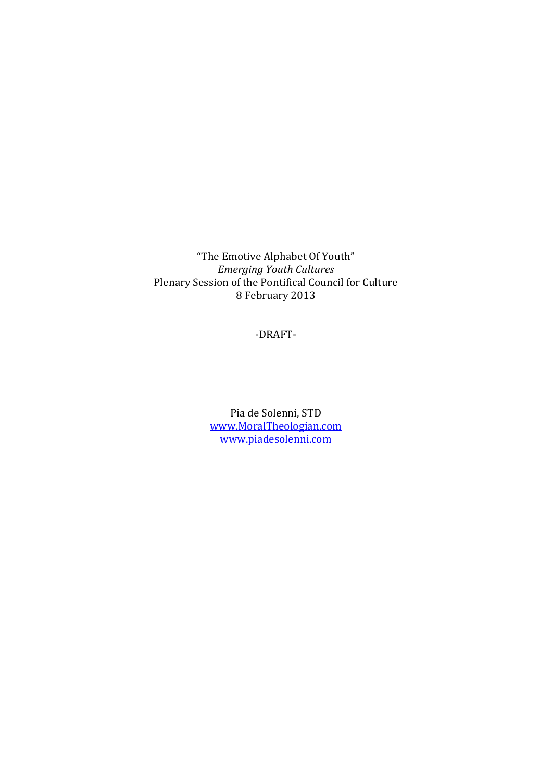"The Emotive Alphabet Of Youth" *Emerging Youth Cultures*  Plenary Session of the Pontifical Council for Culture 8 February 2013

-DRAFT-

Pia de Solenni, STD www.MoralTheologian.com www.piadesolenni.com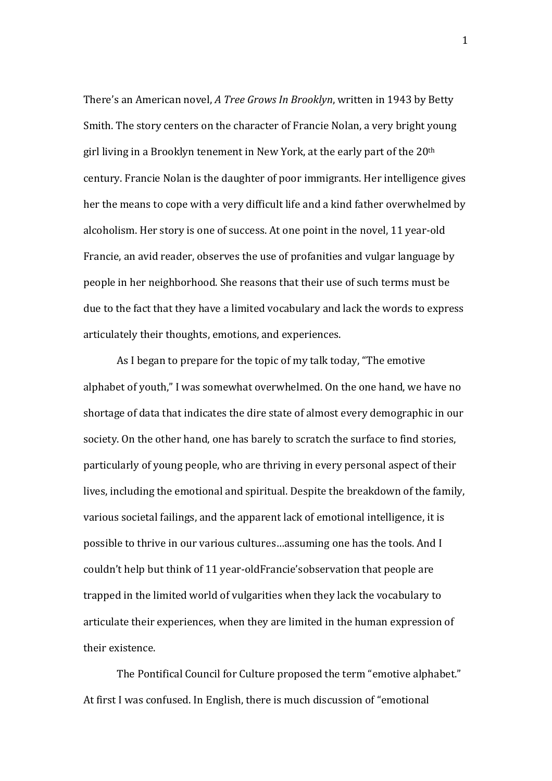There's an American novel, *A Tree Grows In Brooklyn*, written in 1943 by Betty Smith. The story centers on the character of Francie Nolan, a very bright young girl living in a Brooklyn tenement in New York, at the early part of the 20th century. Francie Nolan is the daughter of poor immigrants. Her intelligence gives her the means to cope with a very difficult life and a kind father overwhelmed by alcoholism. Her story is one of success. At one point in the novel, 11 year-old Francie, an avid reader, observes the use of profanities and vulgar language by people in her neighborhood. She reasons that their use of such terms must be due to the fact that they have a limited vocabulary and lack the words to express articulately their thoughts, emotions, and experiences.

 As I began to prepare for the topic of my talk today, "The emotive alphabet of youth," I was somewhat overwhelmed. On the one hand, we have no shortage of data that indicates the dire state of almost every demographic in our society. On the other hand, one has barely to scratch the surface to find stories, particularly of young people, who are thriving in every personal aspect of their lives, including the emotional and spiritual. Despite the breakdown of the family, various societal failings, and the apparent lack of emotional intelligence, it is possible to thrive in our various cultures…assuming one has the tools. And I couldn't help but think of 11 year-oldFrancie'sobservation that people are trapped in the limited world of vulgarities when they lack the vocabulary to articulate their experiences, when they are limited in the human expression of their existence.

 The Pontifical Council for Culture proposed the term "emotive alphabet." At first I was confused. In English, there is much discussion of "emotional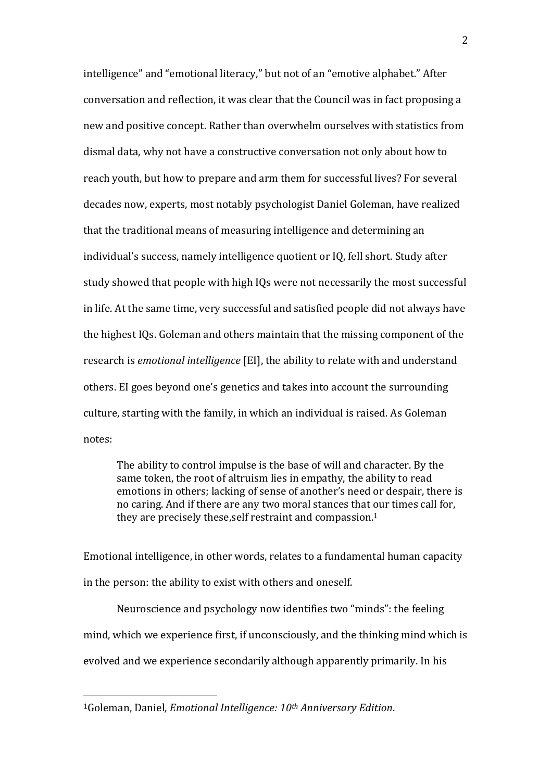intelligence" and "emotional literacy," but not of an "emotive alphabet." After conversation and reflection, it was clear that the Council was in fact proposing a new and positive concept. Rather than overwhelm ourselves with statistics from dismal data, why not have a constructive conversation not only about how to reach youth, but how to prepare and arm them for successful lives? For several decades now, experts, most notably psychologist Daniel Goleman, have realized that the traditional means of measuring intelligence and determining an individual's success, namely intelligence quotient or IQ, fell short. Study after study showed that people with high IQs were not necessarily the most successful in life. At the same time, very successful and satisfied people did not always have the highest IQs. Goleman and others maintain that the missing component of the research is *emotional intelligence* [EI], the ability to relate with and understand others. EI goes beyond one's genetics and takes into account the surrounding culture, starting with the family, in which an individual is raised. As Goleman notes:

The ability to control impulse is the base of will and character. By the same token, the root of altruism lies in empathy, the ability to read emotions in others; lacking of sense of another's need or despair, there is no caring. And if there are any two moral stances that our times call for, they are precisely these, self restraint and compassion.<sup>1</sup>

Emotional intelligence, in other words, relates to a fundamental human capacity in the person: the ability to exist with others and oneself.

 Neuroscience and psychology now identifies two "minds": the feeling mind, which we experience first, if unconsciously, and the thinking mind which is evolved and we experience secondarily although apparently primarily. In his

 $\overline{a}$ 

<sup>1</sup>Goleman, Daniel, *Emotional Intelligence: 10th Anniversary Edition*.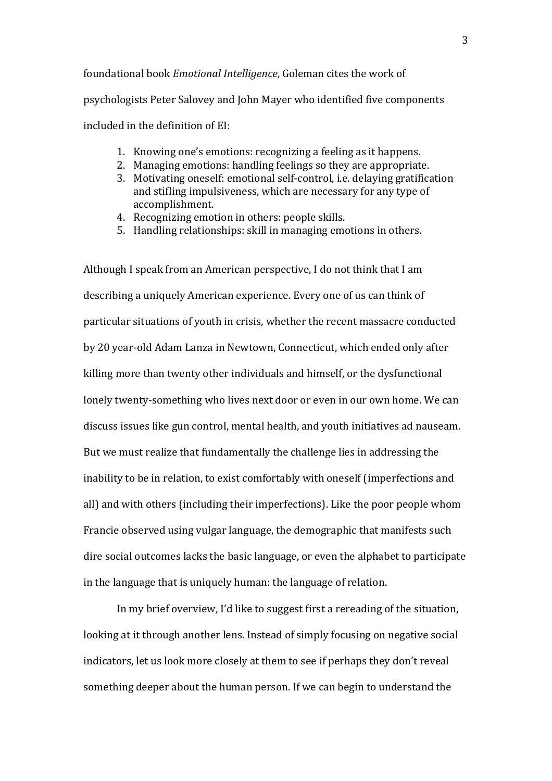foundational book *Emotional Intelligence*, Goleman cites the work of psychologists Peter Salovey and John Mayer who identified five components included in the definition of EI:

- 1. Knowing one's emotions: recognizing a feeling as it happens.
- 2. Managing emotions: handling feelings so they are appropriate.
- 3. Motivating oneself: emotional self-control, i.e. delaying gratification and stifling impulsiveness, which are necessary for any type of accomplishment.
- 4. Recognizing emotion in others: people skills.
- 5. Handling relationships: skill in managing emotions in others.

Although I speak from an American perspective, I do not think that I am describing a uniquely American experience. Every one of us can think of particular situations of youth in crisis, whether the recent massacre conducted by 20 year-old Adam Lanza in Newtown, Connecticut, which ended only after killing more than twenty other individuals and himself, or the dysfunctional lonely twenty-something who lives next door or even in our own home. We can discuss issues like gun control, mental health, and youth initiatives ad nauseam. But we must realize that fundamentally the challenge lies in addressing the inability to be in relation, to exist comfortably with oneself (imperfections and all) and with others (including their imperfections). Like the poor people whom Francie observed using vulgar language, the demographic that manifests such dire social outcomes lacks the basic language, or even the alphabet to participate in the language that is uniquely human: the language of relation.

 In my brief overview, I'd like to suggest first a rereading of the situation, looking at it through another lens. Instead of simply focusing on negative social indicators, let us look more closely at them to see if perhaps they don't reveal something deeper about the human person. If we can begin to understand the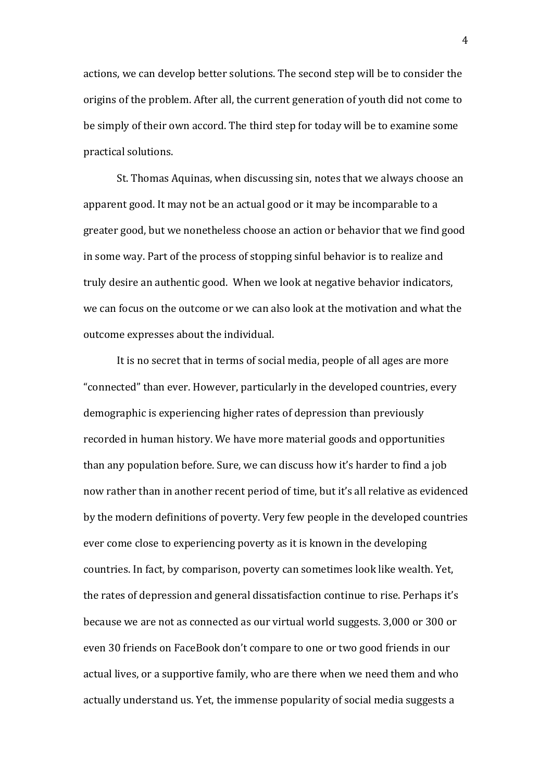actions, we can develop better solutions. The second step will be to consider the origins of the problem. After all, the current generation of youth did not come to be simply of their own accord. The third step for today will be to examine some practical solutions.

 St. Thomas Aquinas, when discussing sin, notes that we always choose an apparent good. It may not be an actual good or it may be incomparable to a greater good, but we nonetheless choose an action or behavior that we find good in some way. Part of the process of stopping sinful behavior is to realize and truly desire an authentic good. When we look at negative behavior indicators, we can focus on the outcome or we can also look at the motivation and what the outcome expresses about the individual.

 It is no secret that in terms of social media, people of all ages are more "connected" than ever. However, particularly in the developed countries, every demographic is experiencing higher rates of depression than previously recorded in human history. We have more material goods and opportunities than any population before. Sure, we can discuss how it's harder to find a job now rather than in another recent period of time, but it's all relative as evidenced by the modern definitions of poverty. Very few people in the developed countries ever come close to experiencing poverty as it is known in the developing countries. In fact, by comparison, poverty can sometimes look like wealth. Yet, the rates of depression and general dissatisfaction continue to rise. Perhaps it's because we are not as connected as our virtual world suggests. 3,000 or 300 or even 30 friends on FaceBook don't compare to one or two good friends in our actual lives, or a supportive family, who are there when we need them and who actually understand us. Yet, the immense popularity of social media suggests a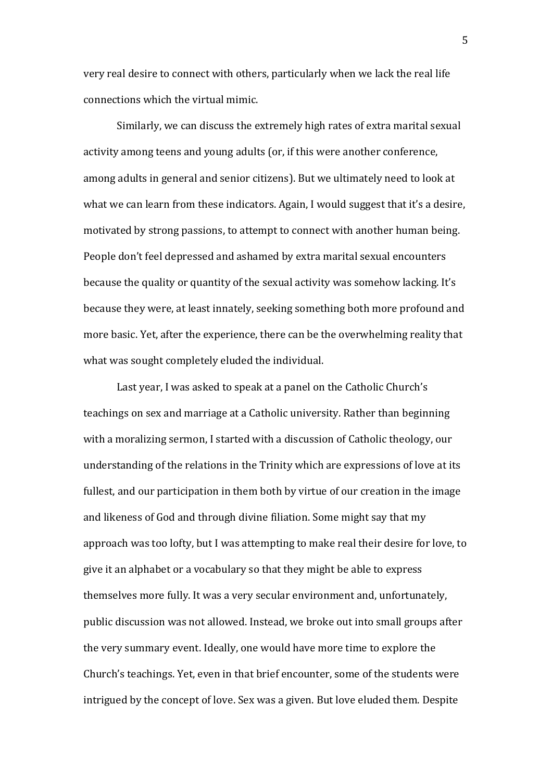very real desire to connect with others, particularly when we lack the real life connections which the virtual mimic.

 Similarly, we can discuss the extremely high rates of extra marital sexual activity among teens and young adults (or, if this were another conference, among adults in general and senior citizens). But we ultimately need to look at what we can learn from these indicators. Again, I would suggest that it's a desire, motivated by strong passions, to attempt to connect with another human being. People don't feel depressed and ashamed by extra marital sexual encounters because the quality or quantity of the sexual activity was somehow lacking. It's because they were, at least innately, seeking something both more profound and more basic. Yet, after the experience, there can be the overwhelming reality that what was sought completely eluded the individual.

 Last year, I was asked to speak at a panel on the Catholic Church's teachings on sex and marriage at a Catholic university. Rather than beginning with a moralizing sermon, I started with a discussion of Catholic theology, our understanding of the relations in the Trinity which are expressions of love at its fullest, and our participation in them both by virtue of our creation in the image and likeness of God and through divine filiation. Some might say that my approach was too lofty, but I was attempting to make real their desire for love, to give it an alphabet or a vocabulary so that they might be able to express themselves more fully. It was a very secular environment and, unfortunately, public discussion was not allowed. Instead, we broke out into small groups after the very summary event. Ideally, one would have more time to explore the Church's teachings. Yet, even in that brief encounter, some of the students were intrigued by the concept of love. Sex was a given. But love eluded them. Despite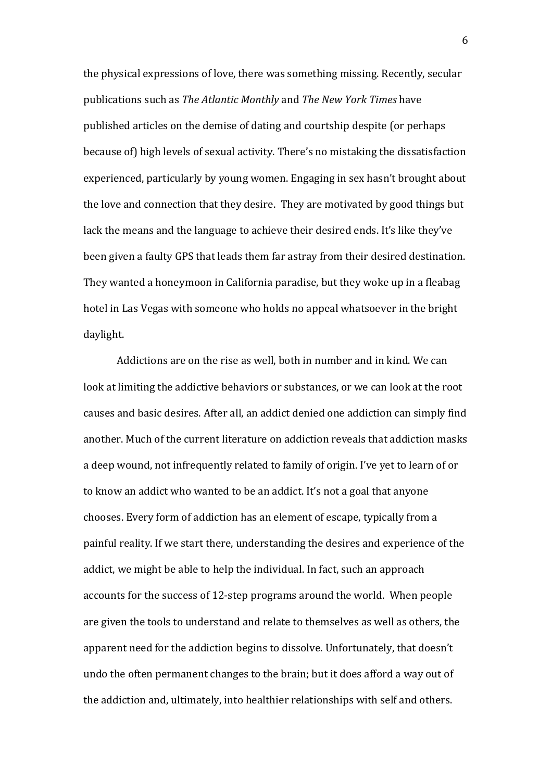the physical expressions of love, there was something missing. Recently, secular publications such as *The Atlantic Monthly* and *The New York Times* have published articles on the demise of dating and courtship despite (or perhaps because of) high levels of sexual activity. There's no mistaking the dissatisfaction experienced, particularly by young women. Engaging in sex hasn't brought about the love and connection that they desire. They are motivated by good things but lack the means and the language to achieve their desired ends. It's like they've been given a faulty GPS that leads them far astray from their desired destination. They wanted a honeymoon in California paradise, but they woke up in a fleabag hotel in Las Vegas with someone who holds no appeal whatsoever in the bright daylight.

 Addictions are on the rise as well, both in number and in kind. We can look at limiting the addictive behaviors or substances, or we can look at the root causes and basic desires. After all, an addict denied one addiction can simply find another. Much of the current literature on addiction reveals that addiction masks a deep wound, not infrequently related to family of origin. I've yet to learn of or to know an addict who wanted to be an addict. It's not a goal that anyone chooses. Every form of addiction has an element of escape, typically from a painful reality. If we start there, understanding the desires and experience of the addict, we might be able to help the individual. In fact, such an approach accounts for the success of 12-step programs around the world. When people are given the tools to understand and relate to themselves as well as others, the apparent need for the addiction begins to dissolve. Unfortunately, that doesn't undo the often permanent changes to the brain; but it does afford a way out of the addiction and, ultimately, into healthier relationships with self and others.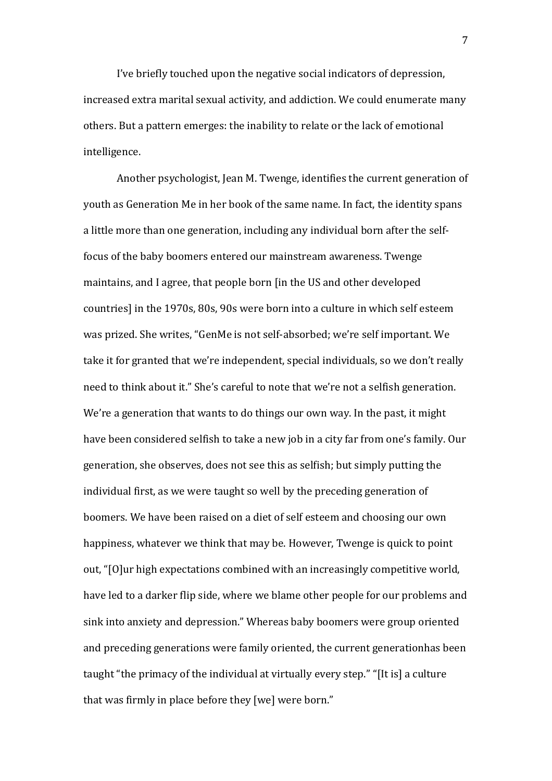I've briefly touched upon the negative social indicators of depression, increased extra marital sexual activity, and addiction. We could enumerate many others. But a pattern emerges: the inability to relate or the lack of emotional intelligence.

Another psychologist, Jean M. Twenge, identifies the current generation of youth as Generation Me in her book of the same name. In fact, the identity spans a little more than one generation, including any individual born after the selffocus of the baby boomers entered our mainstream awareness. Twenge maintains, and I agree, that people born [in the US and other developed countries] in the 1970s, 80s, 90s were born into a culture in which self esteem was prized. She writes, "GenMe is not self-absorbed; we're self important. We take it for granted that we're independent, special individuals, so we don't really need to think about it." She's careful to note that we're not a selfish generation. We're a generation that wants to do things our own way. In the past, it might have been considered selfish to take a new job in a city far from one's family. Our generation, she observes, does not see this as selfish; but simply putting the individual first, as we were taught so well by the preceding generation of boomers. We have been raised on a diet of self esteem and choosing our own happiness, whatever we think that may be. However, Twenge is quick to point out, "[O]ur high expectations combined with an increasingly competitive world, have led to a darker flip side, where we blame other people for our problems and sink into anxiety and depression." Whereas baby boomers were group oriented and preceding generations were family oriented, the current generationhas been taught "the primacy of the individual at virtually every step." "[It is] a culture that was firmly in place before they [we] were born."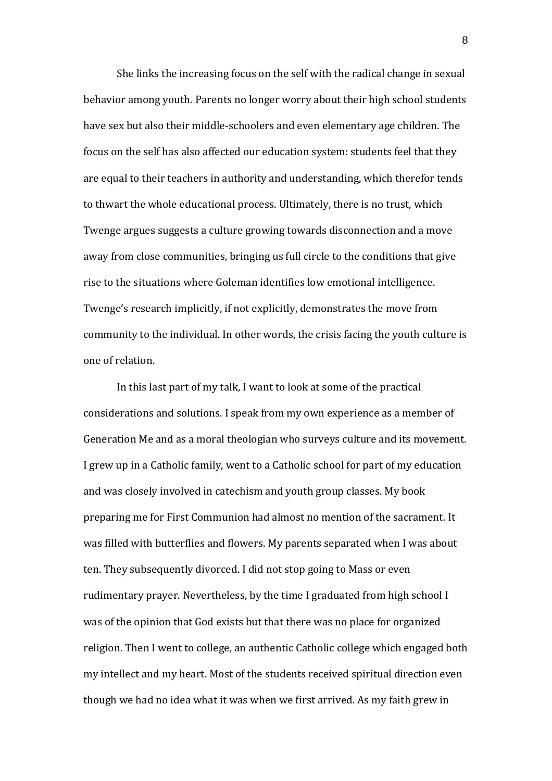She links the increasing focus on the self with the radical change in sexual behavior among youth. Parents no longer worry about their high school students have sex but also their middle-schoolers and even elementary age children. The focus on the self has also affected our education system: students feel that they are equal to their teachers in authority and understanding, which therefor tends to thwart the whole educational process. Ultimately, there is no trust, which Twenge argues suggests a culture growing towards disconnection and a move away from close communities, bringing us full circle to the conditions that give rise to the situations where Goleman identifies low emotional intelligence. Twenge's research implicitly, if not explicitly, demonstrates the move from community to the individual. In other words, the crisis facing the youth culture is one of relation.

 In this last part of my talk, I want to look at some of the practical considerations and solutions. I speak from my own experience as a member of Generation Me and as a moral theologian who surveys culture and its movement. I grew up in a Catholic family, went to a Catholic school for part of my education and was closely involved in catechism and youth group classes. My book preparing me for First Communion had almost no mention of the sacrament. It was filled with butterflies and flowers. My parents separated when I was about ten. They subsequently divorced. I did not stop going to Mass or even rudimentary prayer. Nevertheless, by the time I graduated from high school I was of the opinion that God exists but that there was no place for organized religion. Then I went to college, an authentic Catholic college which engaged both my intellect and my heart. Most of the students received spiritual direction even though we had no idea what it was when we first arrived. As my faith grew in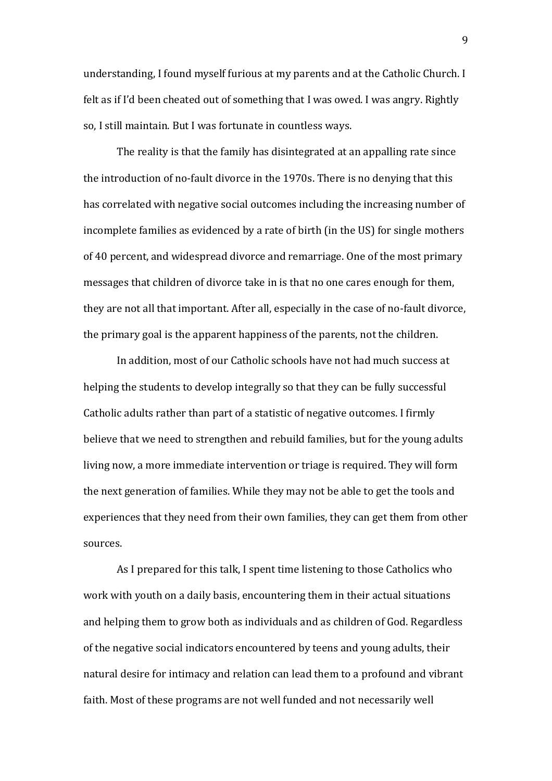understanding, I found myself furious at my parents and at the Catholic Church. I felt as if I'd been cheated out of something that I was owed. I was angry. Rightly so, I still maintain. But I was fortunate in countless ways.

 The reality is that the family has disintegrated at an appalling rate since the introduction of no-fault divorce in the 1970s. There is no denying that this has correlated with negative social outcomes including the increasing number of incomplete families as evidenced by a rate of birth (in the US) for single mothers of 40 percent, and widespread divorce and remarriage. One of the most primary messages that children of divorce take in is that no one cares enough for them, they are not all that important. After all, especially in the case of no-fault divorce, the primary goal is the apparent happiness of the parents, not the children.

In addition, most of our Catholic schools have not had much success at helping the students to develop integrally so that they can be fully successful Catholic adults rather than part of a statistic of negative outcomes. I firmly believe that we need to strengthen and rebuild families, but for the young adults living now, a more immediate intervention or triage is required. They will form the next generation of families. While they may not be able to get the tools and experiences that they need from their own families, they can get them from other sources.

 As I prepared for this talk, I spent time listening to those Catholics who work with youth on a daily basis, encountering them in their actual situations and helping them to grow both as individuals and as children of God. Regardless of the negative social indicators encountered by teens and young adults, their natural desire for intimacy and relation can lead them to a profound and vibrant faith. Most of these programs are not well funded and not necessarily well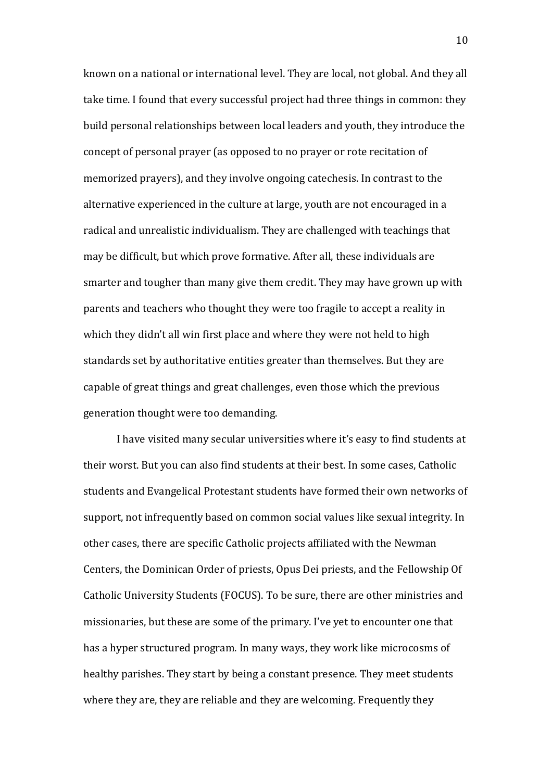known on a national or international level. They are local, not global. And they all take time. I found that every successful project had three things in common: they build personal relationships between local leaders and youth, they introduce the concept of personal prayer (as opposed to no prayer or rote recitation of memorized prayers), and they involve ongoing catechesis. In contrast to the alternative experienced in the culture at large, youth are not encouraged in a radical and unrealistic individualism. They are challenged with teachings that may be difficult, but which prove formative. After all, these individuals are smarter and tougher than many give them credit. They may have grown up with parents and teachers who thought they were too fragile to accept a reality in which they didn't all win first place and where they were not held to high standards set by authoritative entities greater than themselves. But they are capable of great things and great challenges, even those which the previous generation thought were too demanding.

 I have visited many secular universities where it's easy to find students at their worst. But you can also find students at their best. In some cases, Catholic students and Evangelical Protestant students have formed their own networks of support, not infrequently based on common social values like sexual integrity. In other cases, there are specific Catholic projects affiliated with the Newman Centers, the Dominican Order of priests, Opus Dei priests, and the Fellowship Of Catholic University Students (FOCUS). To be sure, there are other ministries and missionaries, but these are some of the primary. I've yet to encounter one that has a hyper structured program. In many ways, they work like microcosms of healthy parishes. They start by being a constant presence. They meet students where they are, they are reliable and they are welcoming. Frequently they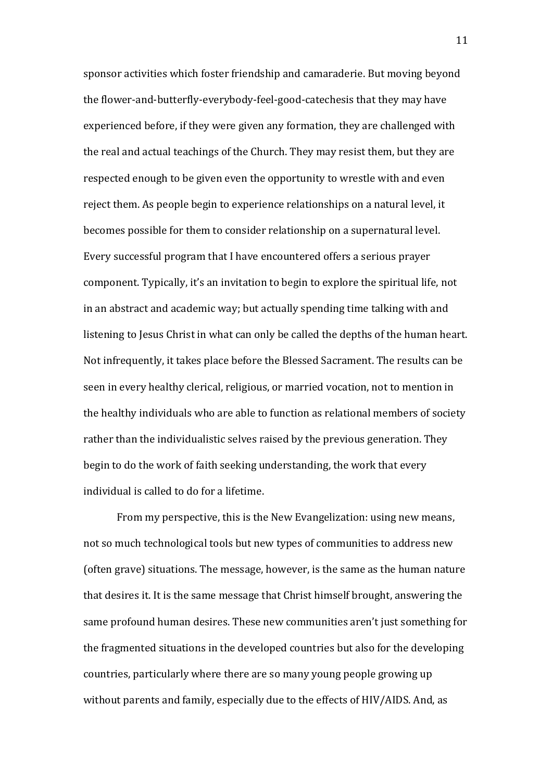sponsor activities which foster friendship and camaraderie. But moving beyond the flower-and-butterfly-everybody-feel-good-catechesis that they may have experienced before, if they were given any formation, they are challenged with the real and actual teachings of the Church. They may resist them, but they are respected enough to be given even the opportunity to wrestle with and even reject them. As people begin to experience relationships on a natural level, it becomes possible for them to consider relationship on a supernatural level. Every successful program that I have encountered offers a serious prayer component. Typically, it's an invitation to begin to explore the spiritual life, not in an abstract and academic way; but actually spending time talking with and listening to Jesus Christ in what can only be called the depths of the human heart. Not infrequently, it takes place before the Blessed Sacrament. The results can be seen in every healthy clerical, religious, or married vocation, not to mention in the healthy individuals who are able to function as relational members of society rather than the individualistic selves raised by the previous generation. They begin to do the work of faith seeking understanding, the work that every individual is called to do for a lifetime.

 From my perspective, this is the New Evangelization: using new means, not so much technological tools but new types of communities to address new (often grave) situations. The message, however, is the same as the human nature that desires it. It is the same message that Christ himself brought, answering the same profound human desires. These new communities aren't just something for the fragmented situations in the developed countries but also for the developing countries, particularly where there are so many young people growing up without parents and family, especially due to the effects of HIV/AIDS. And, as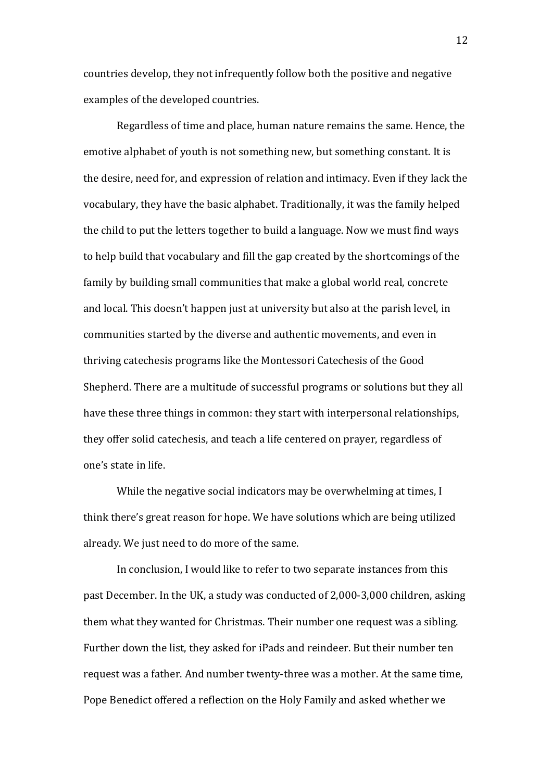countries develop, they not infrequently follow both the positive and negative examples of the developed countries.

 Regardless of time and place, human nature remains the same. Hence, the emotive alphabet of youth is not something new, but something constant. It is the desire, need for, and expression of relation and intimacy. Even if they lack the vocabulary, they have the basic alphabet. Traditionally, it was the family helped the child to put the letters together to build a language. Now we must find ways to help build that vocabulary and fill the gap created by the shortcomings of the family by building small communities that make a global world real, concrete and local. This doesn't happen just at university but also at the parish level, in communities started by the diverse and authentic movements, and even in thriving catechesis programs like the Montessori Catechesis of the Good Shepherd. There are a multitude of successful programs or solutions but they all have these three things in common: they start with interpersonal relationships, they offer solid catechesis, and teach a life centered on prayer, regardless of one's state in life.

 While the negative social indicators may be overwhelming at times, I think there's great reason for hope. We have solutions which are being utilized already. We just need to do more of the same.

 In conclusion, I would like to refer to two separate instances from this past December. In the UK, a study was conducted of 2,000-3,000 children, asking them what they wanted for Christmas. Their number one request was a sibling. Further down the list, they asked for iPads and reindeer. But their number ten request was a father. And number twenty-three was a mother. At the same time, Pope Benedict offered a reflection on the Holy Family and asked whether we